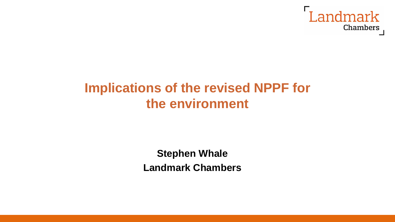

# **Implications of the revised NPPF for the environment**

**Stephen Whale Landmark Chambers**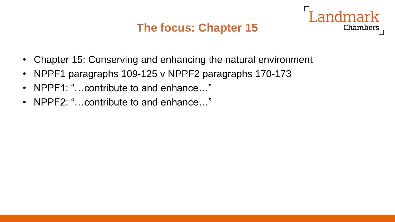#### **The focus: Chapter 15**



- NPPF1 paragraphs 109-125 v NPPF2 paragraphs 170-173
- NPPF1: "...contribute to and enhance..."
- NPPF2: "... contribute to and enhance..."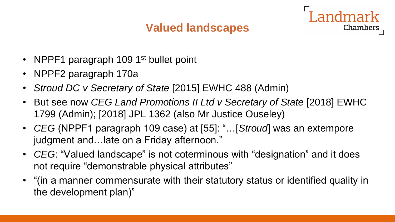#### **Valued landscapes**

- NPPF1 paragraph 109 1<sup>st</sup> bullet point
- NPPF2 paragraph 170a
- *Stroud DC v Secretary of State* [2015] EWHC 488 (Admin)
- But see now *CEG Land Promotions II Ltd v Secretary of State* [2018] EWHC 1799 (Admin); [2018] JPL 1362 (also Mr Justice Ouseley)
- *CEG* (NPPF1 paragraph 109 case) at [55]: "…[*Stroud*] was an extempore judgment and…late on a Friday afternoon."
- *CEG*: "Valued landscape" is not coterminous with "designation" and it does not require "demonstrable physical attributes"
- "(in a manner commensurate with their statutory status or identified quality in the development plan)"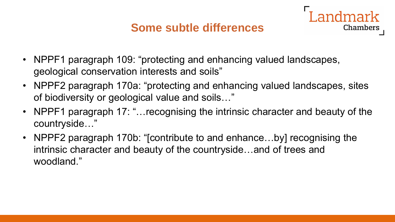#### **Some subtle differences**



- NPPF2 paragraph 170a: "protecting and enhancing valued landscapes, sites of biodiversity or geological value and soils…"
- NPPF1 paragraph 17: "... recognising the intrinsic character and beauty of the countryside…"
- NPPF2 paragraph 170b: "[contribute to and enhance...by] recognising the intrinsic character and beauty of the countryside…and of trees and woodland."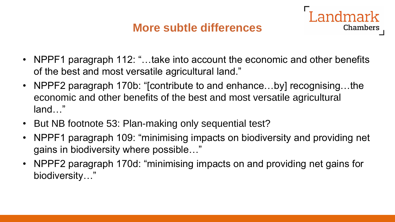#### **More subtle differences**

ndmark

- NPPF1 paragraph 112: "...take into account the economic and other benefits of the best and most versatile agricultural land."
- NPPF2 paragraph 170b: "[contribute to and enhance...by] recognising...the economic and other benefits of the best and most versatile agricultural land…"
- But NB footnote 53: Plan-making only sequential test?
- NPPF1 paragraph 109: "minimising impacts on biodiversity and providing net gains in biodiversity where possible…"
- NPPF2 paragraph 170d: "minimising impacts on and providing net gains for biodiversity…"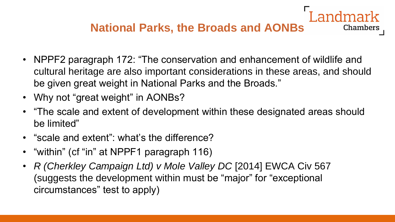### **National Parks, the Broads and AONBs**

- NPPF2 paragraph 172: "The conservation and enhancement of wildlife and cultural heritage are also important considerations in these areas, and should be given great weight in National Parks and the Broads."
- Why not "great weight" in AONBs?
- "The scale and extent of development within these designated areas should be limited"
- "scale and extent": what's the difference?
- "within" (cf "in" at NPPF1 paragraph 116)
- *R (Cherkley Campaign Ltd) v Mole Valley DC* [2014] EWCA Civ 567 (suggests the development within must be "major" for "exceptional circumstances" test to apply)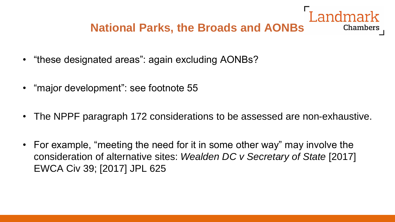# **National Parks, the Broads and AONBs**

- "these designated areas": again excluding AONBs?
- "major development": see footnote 55
- The NPPF paragraph 172 considerations to be assessed are non-exhaustive.
- For example, "meeting the need for it in some other way" may involve the consideration of alternative sites: *Wealden DC v Secretary of State* [2017] EWCA Civ 39; [2017] JPL 625